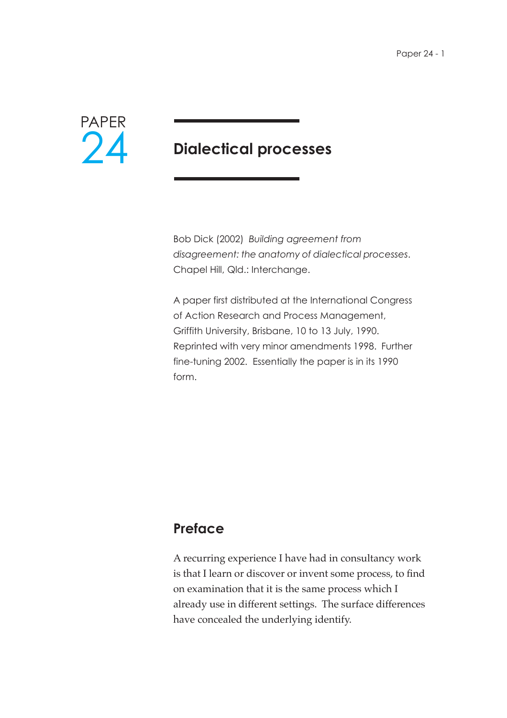

## **Dialectical processes**

Bob Dick (2002) *Building agreement from disagreement: the anatomy of dialectical processes*. Chapel Hill, Qld.: Interchange.

A paper first distributed at the International Congress of Action Research and Process Management, Griffith University, Brisbane, 10 to 13 July, 1990. Reprinted with very minor amendments 1998. Further fine-tuning 2002. Essentially the paper is in its 1990 form.

## **Preface**

A recurring experience I have had in consultancy work is that I learn or discover or invent some process, to find on examination that it is the same process which I already use in different settings. The surface differences have concealed the underlying identify.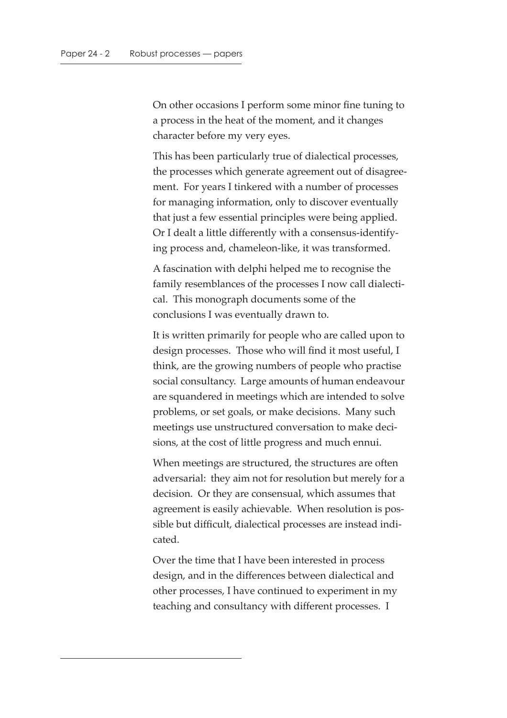On other occasions I perform some minor fine tuning to a process in the heat of the moment, and it changes character before my very eyes.

This has been particularly true of dialectical processes, the processes which generate agreement out of disagreement. For years I tinkered with a number of processes for managing information, only to discover eventually that just a few essential principles were being applied. Or I dealt a little differently with a consensus-identifying process and, chameleon-like, it was transformed.

A fascination with delphi helped me to recognise the family resemblances of the processes I now call dialectical. This monograph documents some of the conclusions I was eventually drawn to.

It is written primarily for people who are called upon to design processes. Those who will find it most useful, I think, are the growing numbers of people who practise social consultancy. Large amounts of human endeavour are squandered in meetings which are intended to solve problems, or set goals, or make decisions. Many such meetings use unstructured conversation to make decisions, at the cost of little progress and much ennui.

When meetings are structured, the structures are often adversarial: they aim not for resolution but merely for a decision. Or they are consensual, which assumes that agreement is easily achievable. When resolution is possible but difficult, dialectical processes are instead indicated.

Over the time that I have been interested in process design, and in the differences between dialectical and other processes, I have continued to experiment in my teaching and consultancy with different processes. I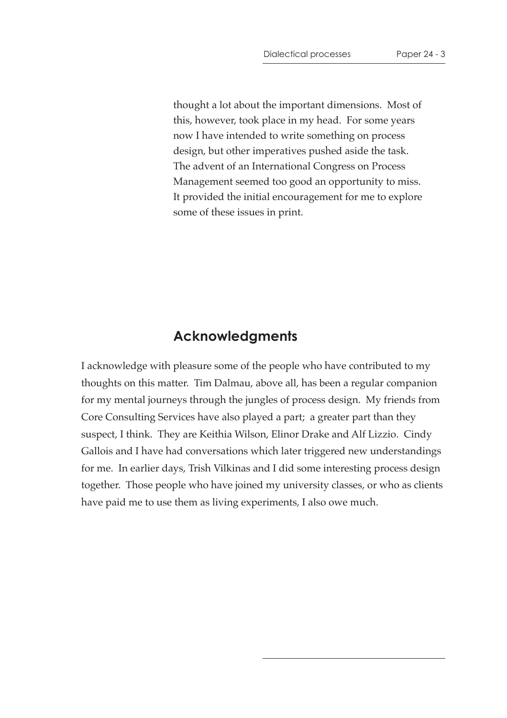thought a lot about the important dimensions. Most of this, however, took place in my head. For some years now I have intended to write something on process design, but other imperatives pushed aside the task. The advent of an International Congress on Process Management seemed too good an opportunity to miss. It provided the initial encouragement for me to explore some of these issues in print.

#### **Acknowledgments**

I acknowledge with pleasure some of the people who have contributed to my thoughts on this matter. Tim Dalmau, above all, has been a regular companion for my mental journeys through the jungles of process design. My friends from Core Consulting Services have also played a part; a greater part than they suspect, I think. They are Keithia Wilson, Elinor Drake and Alf Lizzio. Cindy Gallois and I have had conversations which later triggered new understandings for me. In earlier days, Trish Vilkinas and I did some interesting process design together. Those people who have joined my university classes, or who as clients have paid me to use them as living experiments, I also owe much.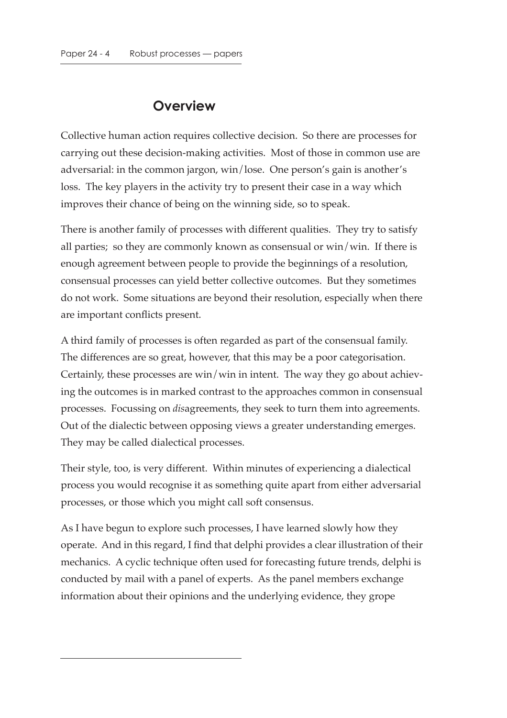## **Overview**

Collective human action requires collective decision. So there are processes for carrying out these decision-making activities. Most of those in common use are adversarial: in the common jargon, win/lose. One person's gain is another's loss. The key players in the activity try to present their case in a way which improves their chance of being on the winning side, so to speak.

There is another family of processes with different qualities. They try to satisfy all parties; so they are commonly known as consensual or win/win. If there is enough agreement between people to provide the beginnings of a resolution, consensual processes can yield better collective outcomes. But they sometimes do not work. Some situations are beyond their resolution, especially when there are important conflicts present.

A third family of processes is often regarded as part of the consensual family. The differences are so great, however, that this may be a poor categorisation. Certainly, these processes are win/win in intent. The way they go about achieving the outcomes is in marked contrast to the approaches common in consensual processes. Focussing on *dis*agreements, they seek to turn them into agreements. Out of the dialectic between opposing views a greater understanding emerges. They may be called dialectical processes.

Their style, too, is very different. Within minutes of experiencing a dialectical process you would recognise it as something quite apart from either adversarial processes, or those which you might call soft consensus.

As I have begun to explore such processes, I have learned slowly how they operate. And in this regard, I find that delphi provides a clear illustration of their mechanics. A cyclic technique often used for forecasting future trends, delphi is conducted by mail with a panel of experts. As the panel members exchange information about their opinions and the underlying evidence, they grope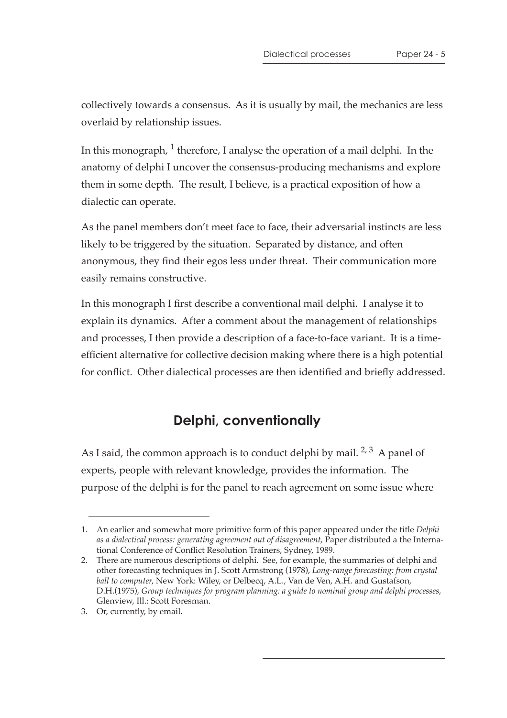collectively towards a consensus. As it is usually by mail, the mechanics are less overlaid by relationship issues.

In this monograph,  $\frac{1}{1}$  therefore, I analyse the operation of a mail delphi. In the anatomy of delphi I uncover the consensus-producing mechanisms and explore them in some depth. The result, I believe, is a practical exposition of how a dialectic can operate.

As the panel members don't meet face to face, their adversarial instincts are less likely to be triggered by the situation. Separated by distance, and often anonymous, they find their egos less under threat. Their communication more easily remains constructive.

In this monograph I first describe a conventional mail delphi. I analyse it to explain its dynamics. After a comment about the management of relationships and processes, I then provide a description of a face-to-face variant. It is a timeefficient alternative for collective decision making where there is a high potential for conflict. Other dialectical processes are then identified and briefly addressed.

## **Delphi, conventionally**

As I said, the common approach is to conduct delphi by mail.  $2, 3$  A panel of experts, people with relevant knowledge, provides the information. The purpose of the delphi is for the panel to reach agreement on some issue where

<sup>1.</sup> An earlier and somewhat more primitive form of this paper appeared under the title *Delphi as a dialectical process: generating agreement out of disagreement*, Paper distributed a the International Conference of Conflict Resolution Trainers, Sydney, 1989.

<sup>2.</sup> There are numerous descriptions of delphi. See, for example, the summaries of delphi and other forecasting techniques in J. Scott Armstrong (1978), *Long-range forecasting: from crystal ball to computer*, New York: Wiley, or Delbecq, A.L., Van de Ven, A.H. and Gustafson, D.H.(1975), *Group techniques for program planning: a guide to nominal group and delphi processes*, Glenview, Ill.: Scott Foresman.

<sup>3.</sup> Or, currently, by email.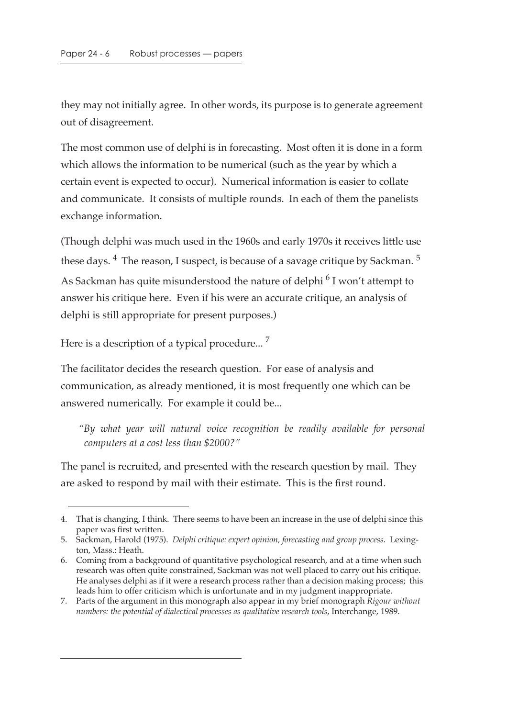they may not initially agree. In other words, its purpose is to generate agreement out of disagreement.

The most common use of delphi is in forecasting. Most often it is done in a form which allows the information to be numerical (such as the year by which a certain event is expected to occur). Numerical information is easier to collate and communicate. It consists of multiple rounds. In each of them the panelists exchange information.

(Though delphi was much used in the 1960s and early 1970s it receives little use these days.  $4$  The reason, I suspect, is because of a savage critique by Sackman.  $5$ As Sackman has quite misunderstood the nature of delphi<sup>6</sup> I won't attempt to answer his critique here. Even if his were an accurate critique, an analysis of delphi is still appropriate for present purposes.)

Here is a description of a typical procedure...<sup>7</sup>

The facilitator decides the research question. For ease of analysis and communication, as already mentioned, it is most frequently one which can be answered numerically. For example it could be...

*"By what year will natural voice recognition be readily available for personal computers at a cost less than \$2000?"*

The panel is recruited, and presented with the research question by mail. They are asked to respond by mail with their estimate. This is the first round.

<sup>4.</sup> That is changing, I think. There seems to have been an increase in the use of delphi since this paper was first written.

<sup>5.</sup> Sackman, Harold (1975). *Delphi critique: expert opinion, forecasting and group process*. Lexington, Mass.: Heath.

<sup>6.</sup> Coming from a background of quantitative psychological research, and at a time when such research was often quite constrained, Sackman was not well placed to carry out his critique. He analyses delphi as if it were a research process rather than a decision making process; this leads him to offer criticism which is unfortunate and in my judgment inappropriate.

<sup>7.</sup> Parts of the argument in this monograph also appear in my brief monograph *Rigour without numbers: the potential of dialectical processes as qualitative research tools*, Interchange, 1989.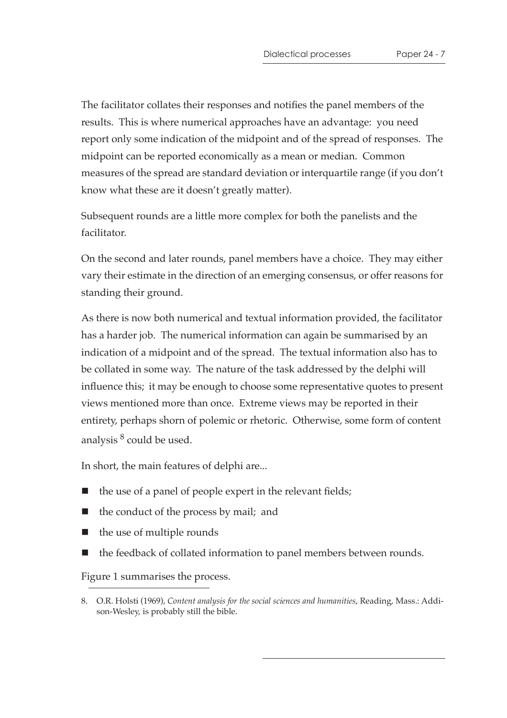The facilitator collates their responses and notifies the panel members of the results. This is where numerical approaches have an advantage: you need report only some indication of the midpoint and of the spread of responses. The midpoint can be reported economically as a mean or median. Common measures of the spread are standard deviation or interquartile range (if you don't know what these are it doesn't greatly matter).

Subsequent rounds are a little more complex for both the panelists and the facilitator.

On the second and later rounds, panel members have a choice. They may either vary their estimate in the direction of an emerging consensus, or offer reasons for standing their ground.

As there is now both numerical and textual information provided, the facilitator has a harder job. The numerical information can again be summarised by an indication of a midpoint and of the spread. The textual information also has to be collated in some way. The nature of the task addressed by the delphi will influence this; it may be enough to choose some representative quotes to present views mentioned more than once. Extreme views may be reported in their entirety, perhaps shorn of polemic or rhetoric. Otherwise, some form of content analysis  $8$  could be used.

In short, the main features of delphi are...

- the use of a panel of people expert in the relevant fields;
- the conduct of the process by mail; and
- $\blacksquare$  the use of multiple rounds
- the feedback of collated information to panel members between rounds.

Figure 1 summarises the process.

<sup>8.</sup> O.R. Holsti (1969), *Content analysis for the social sciences and humanities*, Reading, Mass.: Addison-Wesley, is probably still the bible.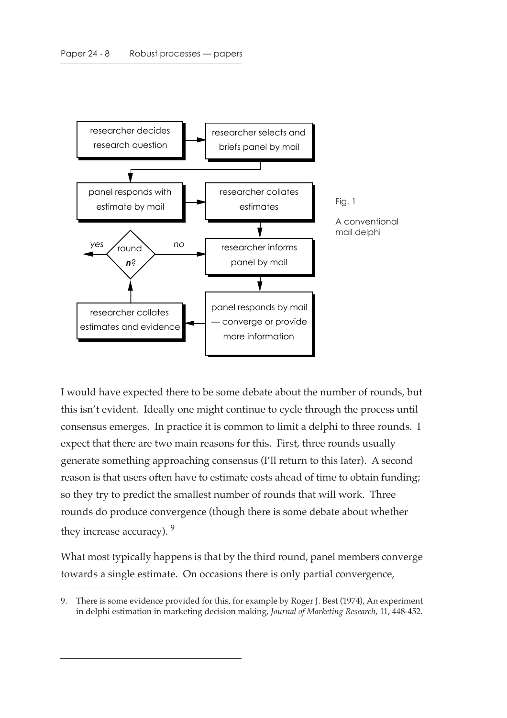

I would have expected there to be some debate about the number of rounds, but this isn't evident. Ideally one might continue to cycle through the process until consensus emerges. In practice it is common to limit a delphi to three rounds. I expect that there are two main reasons for this. First, three rounds usually generate something approaching consensus (I'll return to this later). A second reason is that users often have to estimate costs ahead of time to obtain funding; so they try to predict the smallest number of rounds that will work. Three rounds do produce convergence (though there is some debate about whether they increase accuracy). <sup>9</sup>

What most typically happens is that by the third round, panel members converge towards a single estimate. On occasions there is only partial convergence,

<sup>9.</sup> There is some evidence provided for this, for example by Roger J. Best (1974), An experiment in delphi estimation in marketing decision making, *Journal of Marketing Research*, 11, 448-452.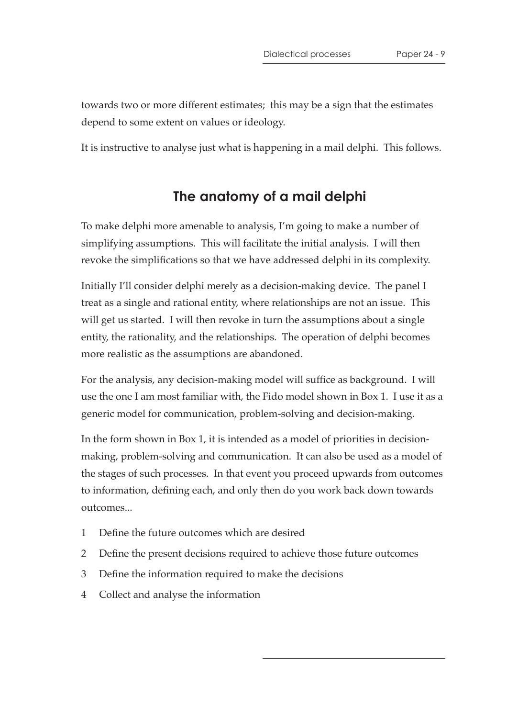towards two or more different estimates; this may be a sign that the estimates depend to some extent on values or ideology.

It is instructive to analyse just what is happening in a mail delphi. This follows.

### **The anatomy of a mail delphi**

To make delphi more amenable to analysis, I'm going to make a number of simplifying assumptions. This will facilitate the initial analysis. I will then revoke the simplifications so that we have addressed delphi in its complexity.

Initially I'll consider delphi merely as a decision-making device. The panel I treat as a single and rational entity, where relationships are not an issue. This will get us started. I will then revoke in turn the assumptions about a single entity, the rationality, and the relationships. The operation of delphi becomes more realistic as the assumptions are abandoned.

For the analysis, any decision-making model will suffice as background. I will use the one I am most familiar with, the Fido model shown in Box 1. I use it as a generic model for communication, problem-solving and decision-making.

In the form shown in Box 1, it is intended as a model of priorities in decisionmaking, problem-solving and communication. It can also be used as a model of the stages of such processes. In that event you proceed upwards from outcomes to information, defining each, and only then do you work back down towards outcomes...

- 1 Define the future outcomes which are desired
- 2 Define the present decisions required to achieve those future outcomes
- 3 Define the information required to make the decisions
- 4 Collect and analyse the information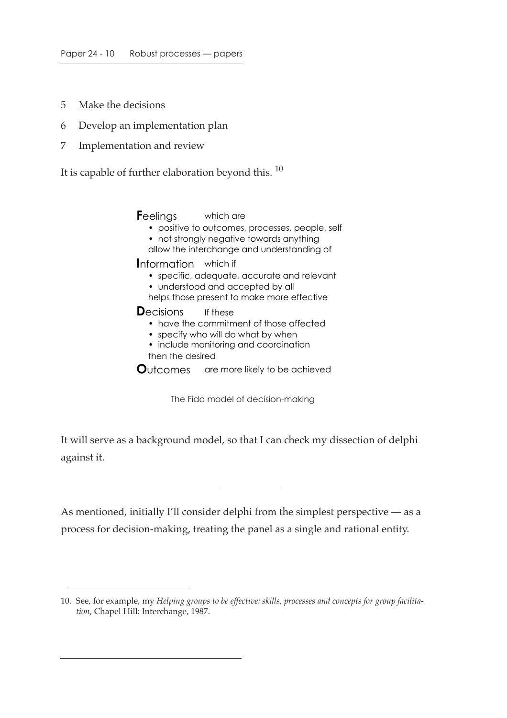- 5 Make the decisions
- 6 Develop an implementation plan
- 7 Implementation and review

It is capable of further elaboration beyond this.  $10$ 

**F**eelings which are

- positive to outcomes, processes, people, self
- not strongly negative towards anything
- allow the interchange and understanding of

**I**nformation which if

- specific, adequate, accurate and relevant
- understood and accepted by all
- helps those present to make more effective

**D**ecisions If these

- have the commitment of those affected
- specify who will do what by when
- include monitoring and coordination
- then the desired

**O**utcomes are more likely to be achieved

The Fido model of decision-making

It will serve as a background model, so that I can check my dissection of delphi against it.

As mentioned, initially I'll consider delphi from the simplest perspective — as a process for decision-making, treating the panel as a single and rational entity.

<sup>10.</sup> See, for example, my *Helping groups to be effective: skills, processes and concepts for group facilitation*, Chapel Hill: Interchange, 1987.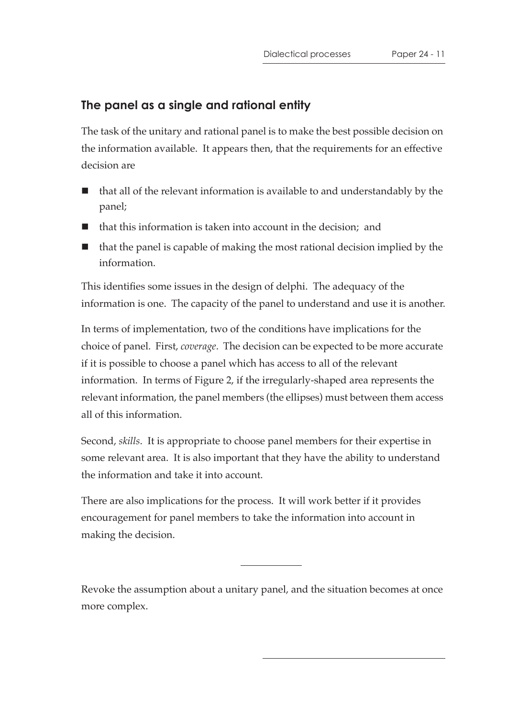## **The panel as a single and rational entity**

The task of the unitary and rational panel is to make the best possible decision on the information available. It appears then, that the requirements for an effective decision are

- that all of the relevant information is available to and understandably by the panel;
- $\blacksquare$  that this information is taken into account in the decision; and
- $\blacksquare$  that the panel is capable of making the most rational decision implied by the information.

This identifies some issues in the design of delphi. The adequacy of the information is one. The capacity of the panel to understand and use it is another.

In terms of implementation, two of the conditions have implications for the choice of panel. First, *coverage*. The decision can be expected to be more accurate if it is possible to choose a panel which has access to all of the relevant information. In terms of Figure 2, if the irregularly-shaped area represents the relevant information, the panel members (the ellipses) must between them access all of this information.

Second, *skills*. It is appropriate to choose panel members for their expertise in some relevant area. It is also important that they have the ability to understand the information and take it into account.

There are also implications for the process. It will work better if it provides encouragement for panel members to take the information into account in making the decision.

Revoke the assumption about a unitary panel, and the situation becomes at once more complex.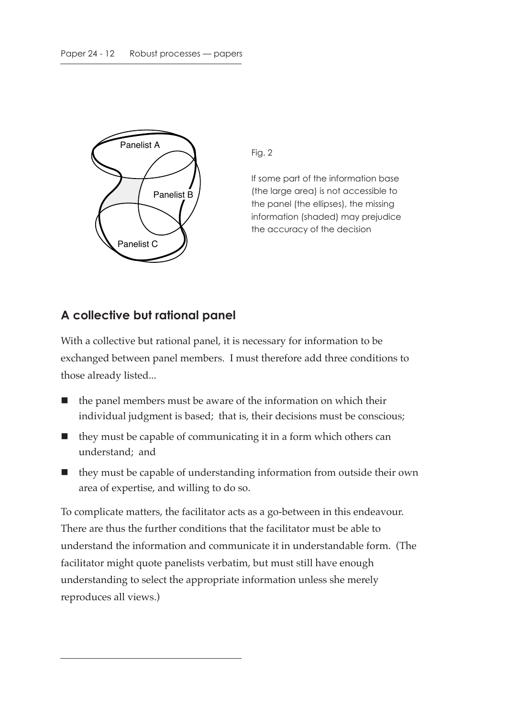

Fig. 2

If some part of the information base (the large area) is not accessible to the panel (the ellipses), the missing information (shaded) may prejudice the accuracy of the decision

#### **A collective but rational panel**

With a collective but rational panel, it is necessary for information to be exchanged between panel members. I must therefore add three conditions to those already listed...

- $\blacksquare$  the panel members must be aware of the information on which their individual judgment is based; that is, their decisions must be conscious;
- $\blacksquare$  they must be capable of communicating it in a form which others can understand; and
- $\blacksquare$  they must be capable of understanding information from outside their own area of expertise, and willing to do so.

To complicate matters, the facilitator acts as a go-between in this endeavour. There are thus the further conditions that the facilitator must be able to understand the information and communicate it in understandable form. (The facilitator might quote panelists verbatim, but must still have enough understanding to select the appropriate information unless she merely reproduces all views.)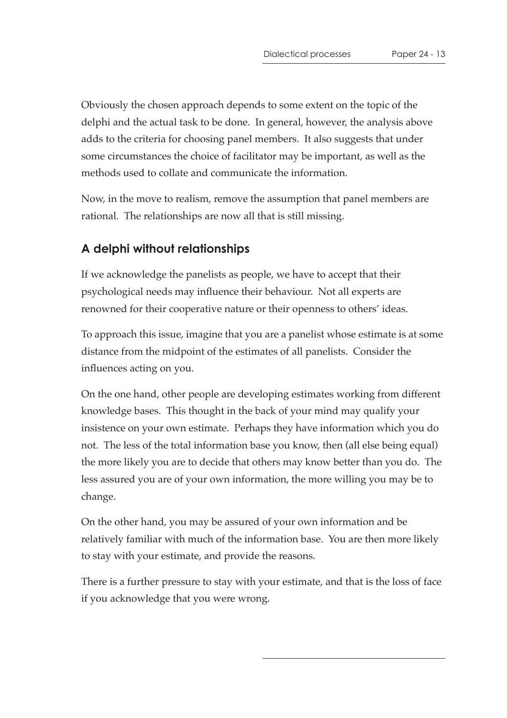Obviously the chosen approach depends to some extent on the topic of the delphi and the actual task to be done. In general, however, the analysis above adds to the criteria for choosing panel members. It also suggests that under some circumstances the choice of facilitator may be important, as well as the methods used to collate and communicate the information.

Now, in the move to realism, remove the assumption that panel members are rational. The relationships are now all that is still missing.

#### **A delphi without relationships**

If we acknowledge the panelists as people, we have to accept that their psychological needs may influence their behaviour. Not all experts are renowned for their cooperative nature or their openness to others' ideas.

To approach this issue, imagine that you are a panelist whose estimate is at some distance from the midpoint of the estimates of all panelists. Consider the influences acting on you.

On the one hand, other people are developing estimates working from different knowledge bases. This thought in the back of your mind may qualify your insistence on your own estimate. Perhaps they have information which you do not. The less of the total information base you know, then (all else being equal) the more likely you are to decide that others may know better than you do. The less assured you are of your own information, the more willing you may be to change.

On the other hand, you may be assured of your own information and be relatively familiar with much of the information base. You are then more likely to stay with your estimate, and provide the reasons.

There is a further pressure to stay with your estimate, and that is the loss of face if you acknowledge that you were wrong.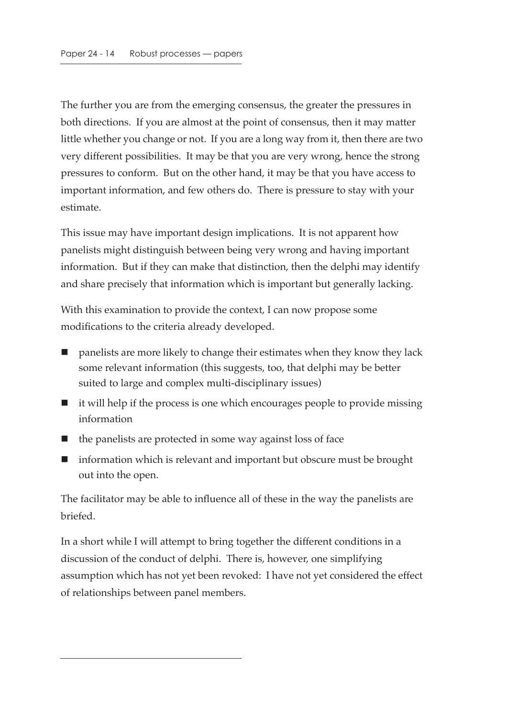The further you are from the emerging consensus, the greater the pressures in both directions. If you are almost at the point of consensus, then it may matter little whether you change or not. If you are a long way from it, then there are two very different possibilities. It may be that you are very wrong, hence the strong pressures to conform. But on the other hand, it may be that you have access to important information, and few others do. There is pressure to stay with your estimate.

This issue may have important design implications. It is not apparent how panelists might distinguish between being very wrong and having important information. But if they can make that distinction, then the delphi may identify and share precisely that information which is important but generally lacking.

With this examination to provide the context, I can now propose some modifications to the criteria already developed.

- panelists are more likely to change their estimates when they know they lack some relevant information (this suggests, too, that delphi may be better suited to large and complex multi-disciplinary issues)
- $\blacksquare$  it will help if the process is one which encourages people to provide missing information
- $\blacksquare$  the panelists are protected in some way against loss of face
- information which is relevant and important but obscure must be brought out into the open.

The facilitator may be able to influence all of these in the way the panelists are briefed.

In a short while I will attempt to bring together the different conditions in a discussion of the conduct of delphi. There is, however, one simplifying assumption which has not yet been revoked: I have not yet considered the effect of relationships between panel members.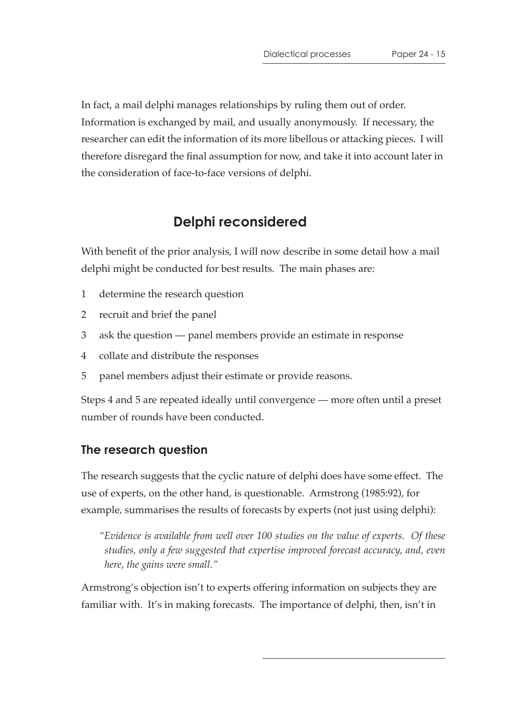In fact, a mail delphi manages relationships by ruling them out of order. Information is exchanged by mail, and usually anonymously. If necessary, the researcher can edit the information of its more libellous or attacking pieces. I will therefore disregard the final assumption for now, and take it into account later in the consideration of face-to-face versions of delphi.

## **Delphi reconsidered**

With benefit of the prior analysis, I will now describe in some detail how a mail delphi might be conducted for best results. The main phases are:

- 1 determine the research question
- 2 recruit and brief the panel
- 3 ask the question panel members provide an estimate in response
- 4 collate and distribute the responses
- 5 panel members adjust their estimate or provide reasons.

Steps 4 and 5 are repeated ideally until convergence — more often until a preset number of rounds have been conducted.

#### **The research question**

The research suggests that the cyclic nature of delphi does have some effect. The use of experts, on the other hand, is questionable. Armstrong (1985:92), for example, summarises the results of forecasts by experts (not just using delphi):

*"Evidence is available from well over 100 studies on the value of experts. Of these studies, only a few suggested that expertise improved forecast accuracy, and, even here, the gains were small."*

Armstrong's objection isn't to experts offering information on subjects they are familiar with. It's in making forecasts. The importance of delphi, then, isn't in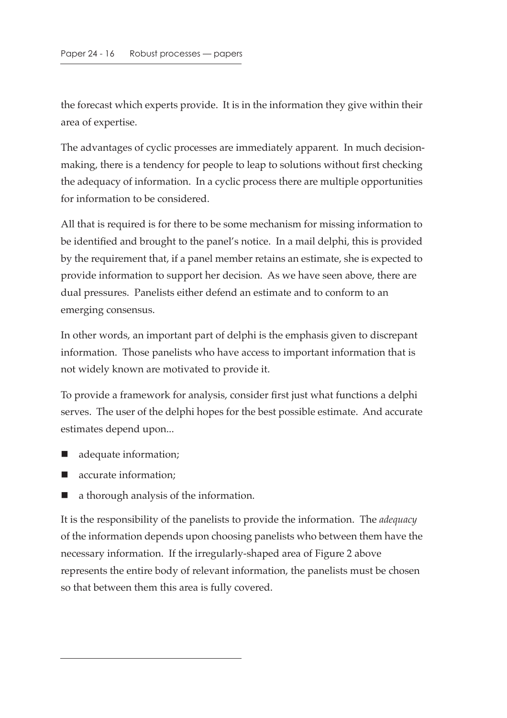the forecast which experts provide. It is in the information they give within their area of expertise.

The advantages of cyclic processes are immediately apparent. In much decisionmaking, there is a tendency for people to leap to solutions without first checking the adequacy of information. In a cyclic process there are multiple opportunities for information to be considered.

All that is required is for there to be some mechanism for missing information to be identified and brought to the panel's notice. In a mail delphi, this is provided by the requirement that, if a panel member retains an estimate, she is expected to provide information to support her decision. As we have seen above, there are dual pressures. Panelists either defend an estimate and to conform to an emerging consensus.

In other words, an important part of delphi is the emphasis given to discrepant information. Those panelists who have access to important information that is not widely known are motivated to provide it.

To provide a framework for analysis, consider first just what functions a delphi serves. The user of the delphi hopes for the best possible estimate. And accurate estimates depend upon...

- adequate information;
- accurate information;
- a thorough analysis of the information.

It is the responsibility of the panelists to provide the information. The *adequacy* of the information depends upon choosing panelists who between them have the necessary information. If the irregularly-shaped area of Figure 2 above represents the entire body of relevant information, the panelists must be chosen so that between them this area is fully covered.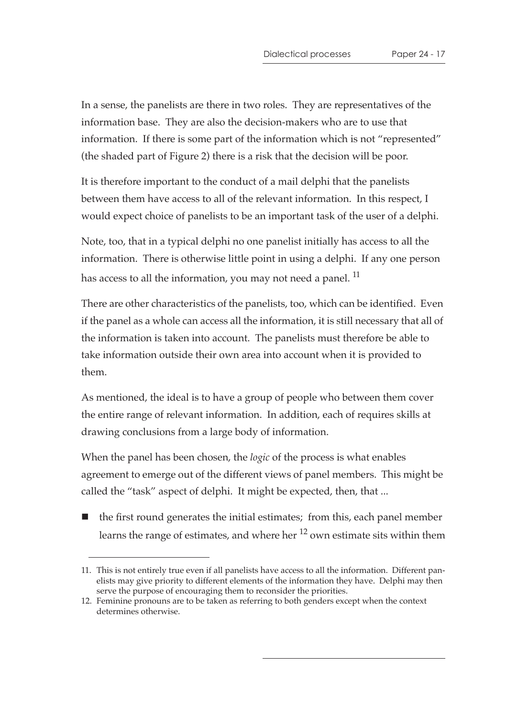In a sense, the panelists are there in two roles. They are representatives of the information base. They are also the decision-makers who are to use that information. If there is some part of the information which is not "represented" (the shaded part of Figure 2) there is a risk that the decision will be poor.

It is therefore important to the conduct of a mail delphi that the panelists between them have access to all of the relevant information. In this respect, I would expect choice of panelists to be an important task of the user of a delphi.

Note, too, that in a typical delphi no one panelist initially has access to all the information. There is otherwise little point in using a delphi. If any one person has access to all the information, you may not need a panel.<sup>11</sup>

There are other characteristics of the panelists, too, which can be identified. Even if the panel as a whole can access all the information, it is still necessary that all of the information is taken into account. The panelists must therefore be able to take information outside their own area into account when it is provided to them.

As mentioned, the ideal is to have a group of people who between them cover the entire range of relevant information. In addition, each of requires skills at drawing conclusions from a large body of information.

When the panel has been chosen, the *logic* of the process is what enables agreement to emerge out of the different views of panel members. This might be called the "task" aspect of delphi. It might be expected, then, that ...

 $\blacksquare$  the first round generates the initial estimates; from this, each panel member learns the range of estimates, and where her  $^{12}$  own estimate sits within them

<sup>11.</sup> This is not entirely true even if all panelists have access to all the information. Different panelists may give priority to different elements of the information they have. Delphi may then serve the purpose of encouraging them to reconsider the priorities.

<sup>12.</sup> Feminine pronouns are to be taken as referring to both genders except when the context determines otherwise.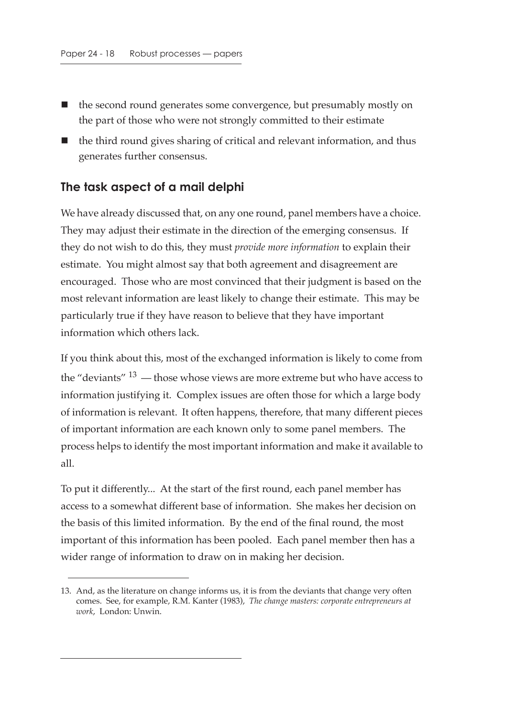- the second round generates some convergence, but presumably mostly on the part of those who were not strongly committed to their estimate
- the third round gives sharing of critical and relevant information, and thus generates further consensus.

#### **The task aspect of a mail delphi**

We have already discussed that, on any one round, panel members have a choice. They may adjust their estimate in the direction of the emerging consensus. If they do not wish to do this, they must *provide more information* to explain their estimate. You might almost say that both agreement and disagreement are encouraged. Those who are most convinced that their judgment is based on the most relevant information are least likely to change their estimate. This may be particularly true if they have reason to believe that they have important information which others lack.

If you think about this, most of the exchanged information is likely to come from the "deviants"  $13$  — those whose views are more extreme but who have access to information justifying it. Complex issues are often those for which a large body of information is relevant. It often happens, therefore, that many different pieces of important information are each known only to some panel members. The process helps to identify the most important information and make it available to all.

To put it differently... At the start of the first round, each panel member has access to a somewhat different base of information. She makes her decision on the basis of this limited information. By the end of the final round, the most important of this information has been pooled. Each panel member then has a wider range of information to draw on in making her decision.

<sup>13.</sup> And, as the literature on change informs us, it is from the deviants that change very often comes. See, for example, R.M. Kanter (1983), *The change masters: corporate entrepreneurs at work*, London: Unwin.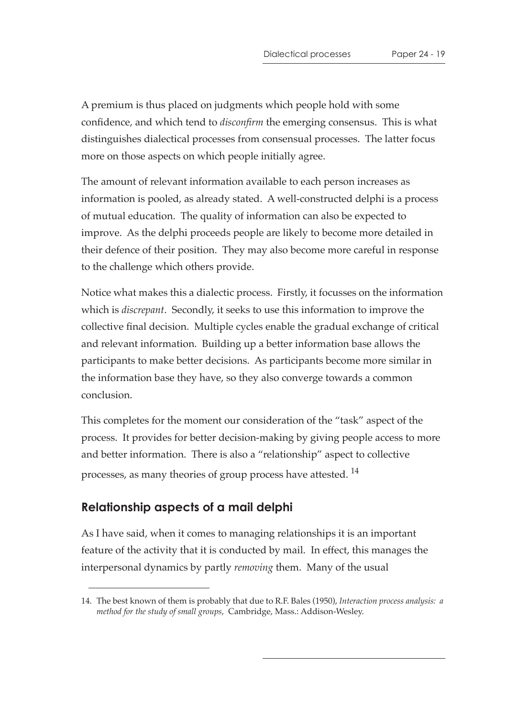A premium is thus placed on judgments which people hold with some confidence, and which tend to *disconfirm* the emerging consensus. This is what distinguishes dialectical processes from consensual processes. The latter focus more on those aspects on which people initially agree.

The amount of relevant information available to each person increases as information is pooled, as already stated. A well-constructed delphi is a process of mutual education. The quality of information can also be expected to improve. As the delphi proceeds people are likely to become more detailed in their defence of their position. They may also become more careful in response to the challenge which others provide.

Notice what makes this a dialectic process. Firstly, it focusses on the information which is *discrepant*. Secondly, it seeks to use this information to improve the collective final decision. Multiple cycles enable the gradual exchange of critical and relevant information. Building up a better information base allows the participants to make better decisions. As participants become more similar in the information base they have, so they also converge towards a common conclusion.

This completes for the moment our consideration of the "task" aspect of the process. It provides for better decision-making by giving people access to more and better information. There is also a "relationship" aspect to collective processes, as many theories of group process have attested. <sup>14</sup>

#### **Relationship aspects of a mail delphi**

As I have said, when it comes to managing relationships it is an important feature of the activity that it is conducted by mail. In effect, this manages the interpersonal dynamics by partly *removing* them. Many of the usual

<sup>14.</sup> The best known of them is probably that due to R.F. Bales (1950), *Interaction process analysis: a method for the study of small groups*, Cambridge, Mass.: Addison-Wesley.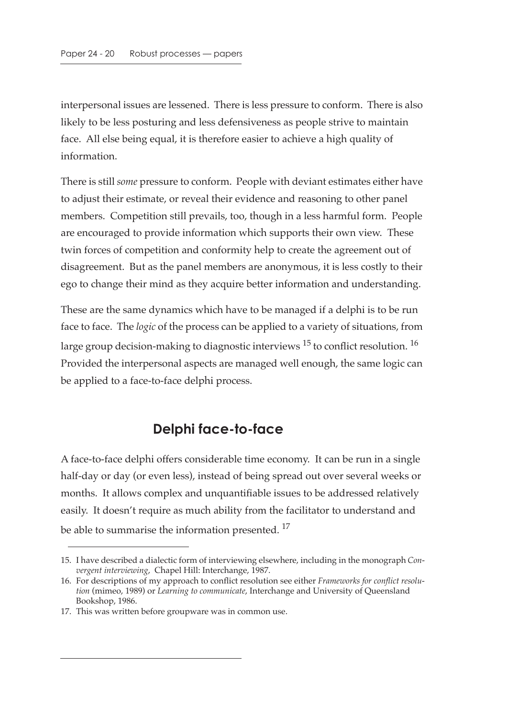interpersonal issues are lessened. There is less pressure to conform. There is also likely to be less posturing and less defensiveness as people strive to maintain face. All else being equal, it is therefore easier to achieve a high quality of information.

There is still *some* pressure to conform. People with deviant estimates either have to adjust their estimate, or reveal their evidence and reasoning to other panel members. Competition still prevails, too, though in a less harmful form. People are encouraged to provide information which supports their own view. These twin forces of competition and conformity help to create the agreement out of disagreement. But as the panel members are anonymous, it is less costly to their ego to change their mind as they acquire better information and understanding.

These are the same dynamics which have to be managed if a delphi is to be run face to face. The *logic* of the process can be applied to a variety of situations, from large group decision-making to diagnostic interviews  $^{15}$  to conflict resolution.  $^{16}$ Provided the interpersonal aspects are managed well enough, the same logic can be applied to a face-to-face delphi process.

## **Delphi face-to-face**

A face-to-face delphi offers considerable time economy. It can be run in a single half-day or day (or even less), instead of being spread out over several weeks or months. It allows complex and unquantifiable issues to be addressed relatively easily. It doesn't require as much ability from the facilitator to understand and be able to summarise the information presented.<sup>17</sup>

<sup>15.</sup> I have described a dialectic form of interviewing elsewhere, including in the monograph *Convergent interviewing*, Chapel Hill: Interchange, 1987.

<sup>16.</sup> For descriptions of my approach to conflict resolution see either *Frameworks for conflict resolution* (mimeo, 1989) or *Learning to communicate*, Interchange and University of Queensland Bookshop, 1986.

<sup>17.</sup> This was written before groupware was in common use.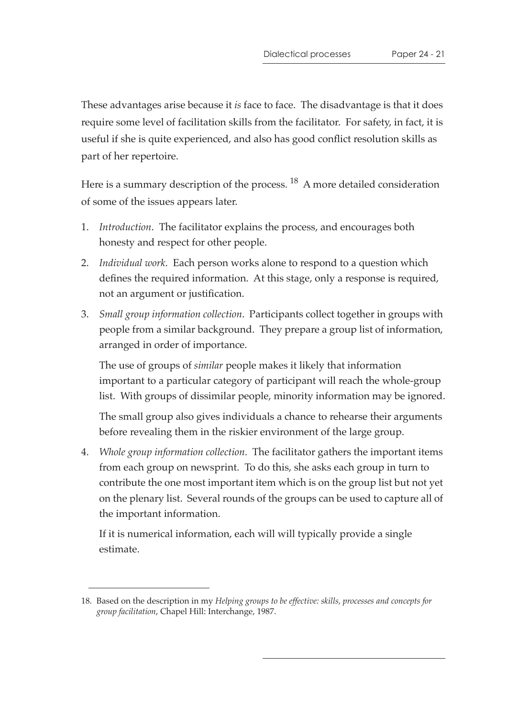These advantages arise because it *is* face to face. The disadvantage is that it does require some level of facilitation skills from the facilitator. For safety, in fact, it is useful if she is quite experienced, and also has good conflict resolution skills as part of her repertoire.

Here is a summary description of the process. <sup>18</sup> A more detailed consideration of some of the issues appears later.

- 1. *Introduction*. The facilitator explains the process, and encourages both honesty and respect for other people.
- 2. *Individual work*. Each person works alone to respond to a question which defines the required information. At this stage, only a response is required, not an argument or justification.
- 3. *Small group information collection*. Participants collect together in groups with people from a similar background. They prepare a group list of information, arranged in order of importance.

The use of groups of *similar* people makes it likely that information important to a particular category of participant will reach the whole-group list. With groups of dissimilar people, minority information may be ignored.

The small group also gives individuals a chance to rehearse their arguments before revealing them in the riskier environment of the large group.

4. *Whole group information collection*. The facilitator gathers the important items from each group on newsprint. To do this, she asks each group in turn to contribute the one most important item which is on the group list but not yet on the plenary list. Several rounds of the groups can be used to capture all of the important information.

If it is numerical information, each will will typically provide a single estimate.

<sup>18.</sup> Based on the description in my *Helping groups to be effective: skills, processes and concepts for group facilitation*, Chapel Hill: Interchange, 1987.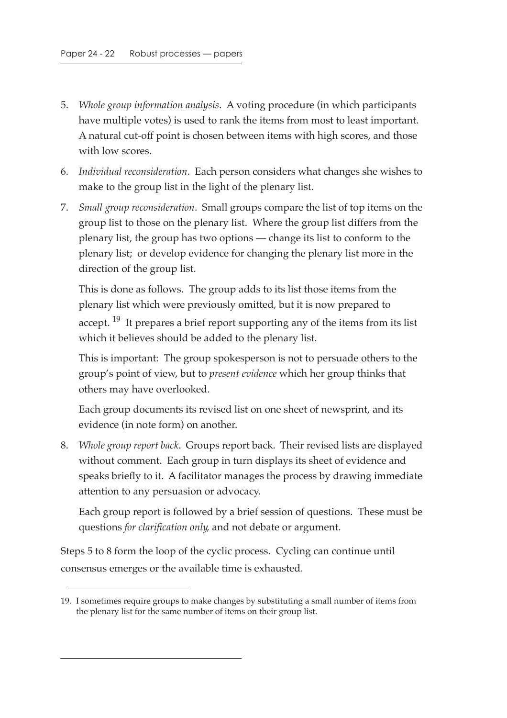- 5. *Whole group information analysis*. A voting procedure (in which participants have multiple votes) is used to rank the items from most to least important. A natural cut-off point is chosen between items with high scores, and those with low scores.
- 6. *Individual reconsideration*. Each person considers what changes she wishes to make to the group list in the light of the plenary list.
- 7. *Small group reconsideration*. Small groups compare the list of top items on the group list to those on the plenary list. Where the group list differs from the plenary list, the group has two options — change its list to conform to the plenary list; or develop evidence for changing the plenary list more in the direction of the group list.

This is done as follows. The group adds to its list those items from the plenary list which were previously omitted, but it is now prepared to accept.  $19$  It prepares a brief report supporting any of the items from its list which it believes should be added to the plenary list.

This is important: The group spokesperson is not to persuade others to the group's point of view, but to *present evidence* which her group thinks that others may have overlooked.

Each group documents its revised list on one sheet of newsprint, and its evidence (in note form) on another.

8. *Whole group report back*. Groups report back. Their revised lists are displayed without comment. Each group in turn displays its sheet of evidence and speaks briefly to it. A facilitator manages the process by drawing immediate attention to any persuasion or advocacy.

Each group report is followed by a brief session of questions. These must be questions *for clarification only*, and not debate or argument.

Steps 5 to 8 form the loop of the cyclic process. Cycling can continue until consensus emerges or the available time is exhausted.

<sup>19.</sup> I sometimes require groups to make changes by substituting a small number of items from the plenary list for the same number of items on their group list.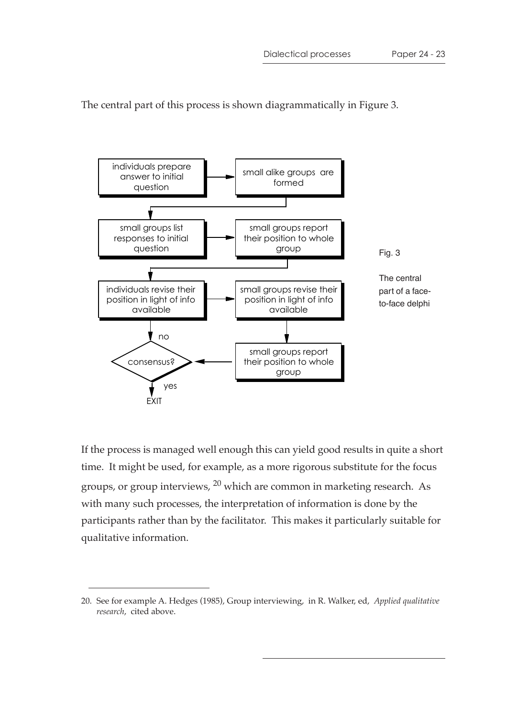The central part of this process is shown diagrammatically in Figure 3.



If the process is managed well enough this can yield good results in quite a short time. It might be used, for example, as a more rigorous substitute for the focus groups, or group interviews, 20 which are common in marketing research. As with many such processes, the interpretation of information is done by the participants rather than by the facilitator. This makes it particularly suitable for qualitative information.

<sup>20.</sup> See for example A. Hedges (1985), Group interviewing, in R. Walker, ed, *Applied qualitative research*, cited above.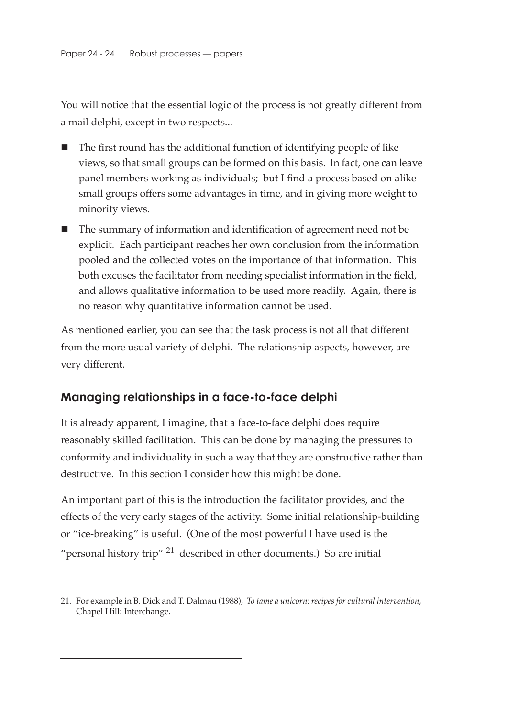You will notice that the essential logic of the process is not greatly different from a mail delphi, except in two respects...

- The first round has the additional function of identifying people of like views, so that small groups can be formed on this basis. In fact, one can leave panel members working as individuals; but I find a process based on alike small groups offers some advantages in time, and in giving more weight to minority views.
- The summary of information and identification of agreement need not be explicit. Each participant reaches her own conclusion from the information pooled and the collected votes on the importance of that information. This both excuses the facilitator from needing specialist information in the field, and allows qualitative information to be used more readily. Again, there is no reason why quantitative information cannot be used.

As mentioned earlier, you can see that the task process is not all that different from the more usual variety of delphi. The relationship aspects, however, are very different.

### **Managing relationships in a face-to-face delphi**

It is already apparent, I imagine, that a face-to-face delphi does require reasonably skilled facilitation. This can be done by managing the pressures to conformity and individuality in such a way that they are constructive rather than destructive. In this section I consider how this might be done.

An important part of this is the introduction the facilitator provides, and the effects of the very early stages of the activity. Some initial relationship-building or "ice-breaking" is useful. (One of the most powerful I have used is the "personal history trip"  $^{21}$  described in other documents.) So are initial

<sup>21.</sup> For example in B. Dick and T. Dalmau (1988), *To tame a unicorn: recipes for cultural intervention*, Chapel Hill: Interchange.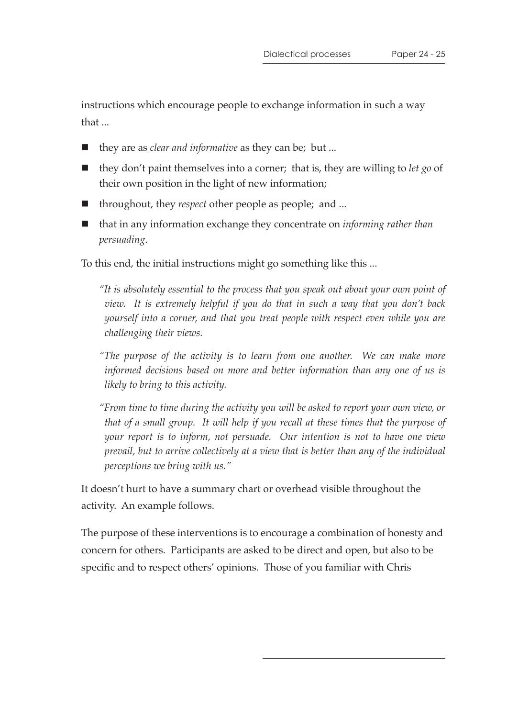instructions which encourage people to exchange information in such a way that ...

- they are as *clear and informative* as they can be; but ...
- they don't paint themselves into a corner; that is, they are willing to *let go* of their own position in the light of new information;
- throughout, they *respect* other people as people; and ...
- that in any information exchange they concentrate on *informing rather than persuading*.

To this end, the initial instructions might go something like this ...

*"It is absolutely essential to the process that you speak out about your own point of view. It is extremely helpful if you do that in such a way that you don't back yourself into a corner, and that you treat people with respect even while you are challenging their views.*

*"The purpose of the activity is to learn from one another. We can make more informed decisions based on more and better information than any one of us is likely to bring to this activity.*

*"From time to time during the activity you will be asked to report your own view, or that of a small group. It will help if you recall at these times that the purpose of your report is to inform, not persuade. Our intention is not to have one view prevail, but to arrive collectively at a view that is better than any of the individual perceptions we bring with us."*

It doesn't hurt to have a summary chart or overhead visible throughout the activity. An example follows.

The purpose of these interventions is to encourage a combination of honesty and concern for others. Participants are asked to be direct and open, but also to be specific and to respect others' opinions. Those of you familiar with Chris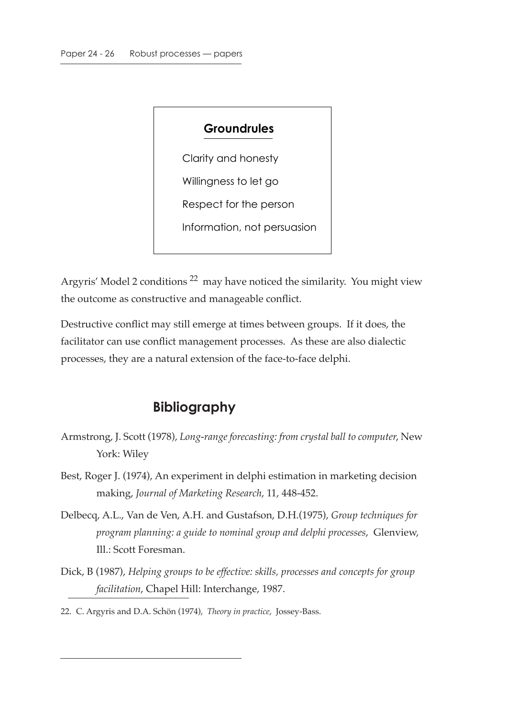# **Groundrules** Clarity and honesty Willingness to let go Respect for the person Information, not persuasion

Argyris' Model 2 conditions 22 may have noticed the similarity. You might view the outcome as constructive and manageable conflict.

Destructive conflict may still emerge at times between groups. If it does, the facilitator can use conflict management processes. As these are also dialectic processes, they are a natural extension of the face-to-face delphi.

## **Bibliography**

- Armstrong, J. Scott (1978), *Long-range forecasting: from crystal ball to computer*, New York: Wiley
- Best, Roger J. (1974), An experiment in delphi estimation in marketing decision making, *Journal of Marketing Research*, 11, 448-452.
- Delbecq, A.L., Van de Ven, A.H. and Gustafson, D.H.(1975), *Group techniques for program planning: a guide to nominal group and delphi processes*, Glenview, Ill.: Scott Foresman.
- Dick, B (1987), *Helping groups to be effective: skills, processes and concepts for group facilitation*, Chapel Hill: Interchange, 1987.
- 22. C. Argyris and D.A. Schön (1974), *Theory in practice*, Jossey-Bass.